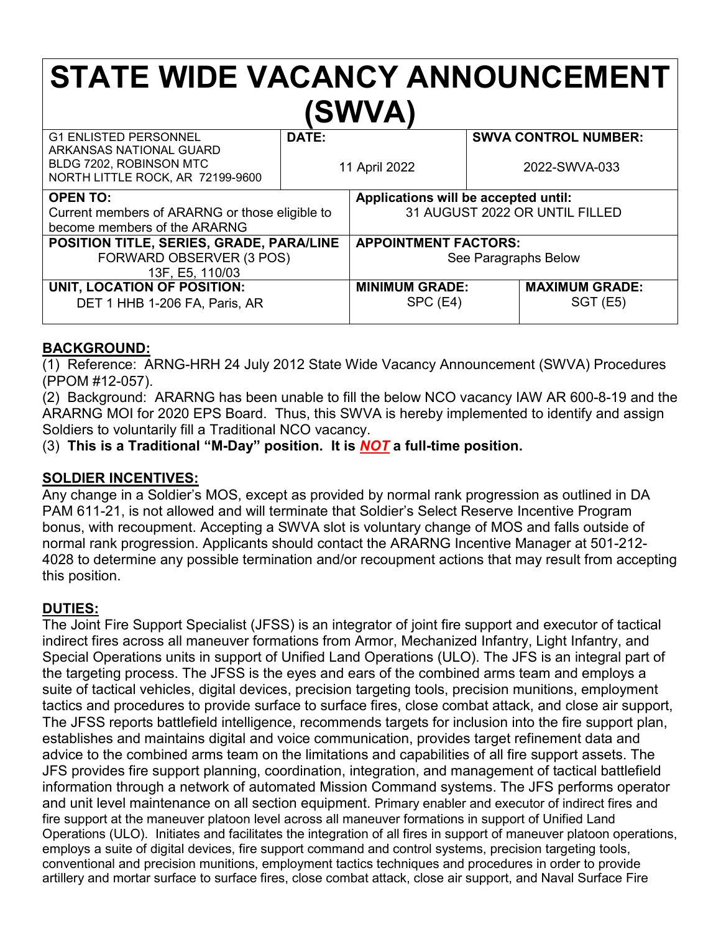# **STATE WIDE VACANCY ANNOUNCEMENT (SWVA)**

| <b>G1 ENLISTED PERSONNEL</b><br>ARKANSAS NATIONAL GUARD<br>BLDG 7202, ROBINSON MTC<br>NORTH LITTLE ROCK, AR 72199-9600 | DATE: | 11 April 2022                        |  | <b>SWVA CONTROL NUMBER:</b><br>2022-SWVA-033 |
|------------------------------------------------------------------------------------------------------------------------|-------|--------------------------------------|--|----------------------------------------------|
| <b>OPEN TO:</b>                                                                                                        |       | Applications will be accepted until: |  |                                              |
| Current members of ARARNG or those eligible to                                                                         |       | 31 AUGUST 2022 OR UNTIL FILLED       |  |                                              |
| become members of the ARARNG                                                                                           |       |                                      |  |                                              |
| POSITION TITLE, SERIES, GRADE, PARA/LINE                                                                               |       | <b>APPOINTMENT FACTORS:</b>          |  |                                              |
| FORWARD OBSERVER (3 POS)                                                                                               |       | See Paragraphs Below                 |  |                                              |
| 13F, E5, 110/03                                                                                                        |       |                                      |  |                                              |
| UNIT, LOCATION OF POSITION:                                                                                            |       | <b>MINIMUM GRADE:</b>                |  | <b>MAXIMUM GRADE:</b>                        |
| DET 1 HHB 1-206 FA, Paris, AR                                                                                          |       | SPC (E4)                             |  | $SGT$ (E5)                                   |
|                                                                                                                        |       |                                      |  |                                              |

# **BACKGROUND:**

(1) Reference: ARNG-HRH 24 July 2012 State Wide Vacancy Announcement (SWVA) Procedures (PPOM #12-057).

(2) Background: ARARNG has been unable to fill the below NCO vacancy IAW AR 600-8-19 and the ARARNG MOI for 2020 EPS Board. Thus, this SWVA is hereby implemented to identify and assign Soldiers to voluntarily fill a Traditional NCO vacancy.

(3) **This is a Traditional "M-Day" position. It is** *NOT* **a full-time position.**

# **SOLDIER INCENTIVES:**

Any change in a Soldier's MOS, except as provided by normal rank progression as outlined in DA PAM 611-21, is not allowed and will terminate that Soldier's Select Reserve Incentive Program bonus, with recoupment. Accepting a SWVA slot is voluntary change of MOS and falls outside of normal rank progression. Applicants should contact the ARARNG Incentive Manager at 501-212- 4028 to determine any possible termination and/or recoupment actions that may result from accepting this position.

# **DUTIES:**

The Joint Fire Support Specialist (JFSS) is an integrator of joint fire support and executor of tactical indirect fires across all maneuver formations from Armor, Mechanized Infantry, Light Infantry, and Special Operations units in support of Unified Land Operations (ULO). The JFS is an integral part of the targeting process. The JFSS is the eyes and ears of the combined arms team and employs a suite of tactical vehicles, digital devices, precision targeting tools, precision munitions, employment tactics and procedures to provide surface to surface fires, close combat attack, and close air support, The JFSS reports battlefield intelligence, recommends targets for inclusion into the fire support plan, establishes and maintains digital and voice communication, provides target refinement data and advice to the combined arms team on the limitations and capabilities of all fire support assets. The JFS provides fire support planning, coordination, integration, and management of tactical battlefield information through a network of automated Mission Command systems. The JFS performs operator and unit level maintenance on all section equipment. Primary enabler and executor of indirect fires and fire support at the maneuver platoon level across all maneuver formations in support of Unified Land Operations (ULO). Initiates and facilitates the integration of all fires in support of maneuver platoon operations, employs a suite of digital devices, fire support command and control systems, precision targeting tools, conventional and precision munitions, employment tactics techniques and procedures in order to provide artillery and mortar surface to surface fires, close combat attack, close air support, and Naval Surface Fire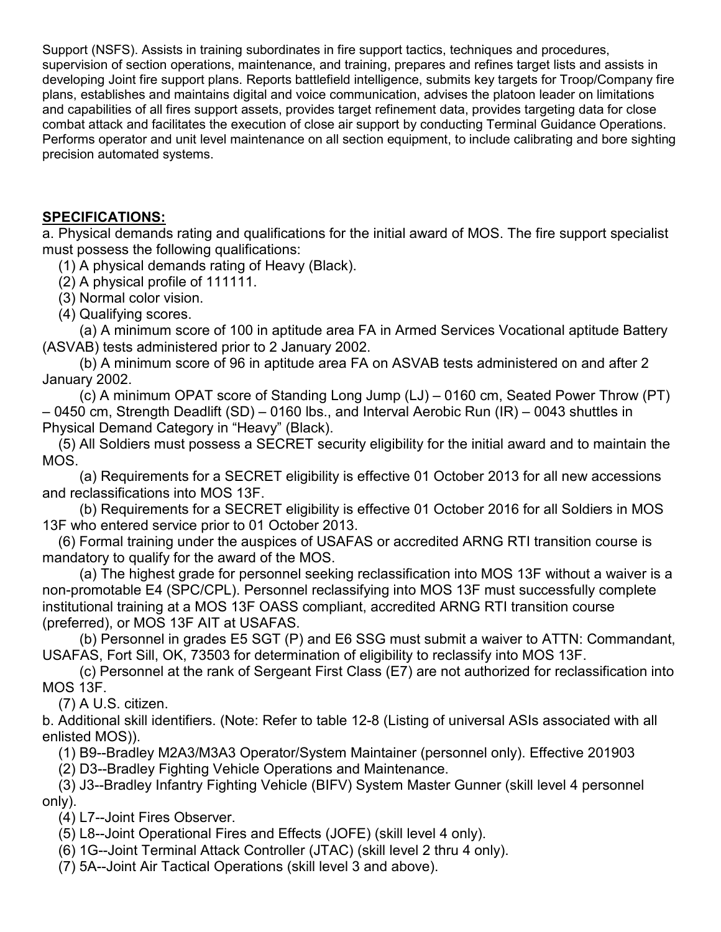Support (NSFS). Assists in training subordinates in fire support tactics, techniques and procedures, supervision of section operations, maintenance, and training, prepares and refines target lists and assists in developing Joint fire support plans. Reports battlefield intelligence, submits key targets for Troop/Company fire plans, establishes and maintains digital and voice communication, advises the platoon leader on limitations and capabilities of all fires support assets, provides target refinement data, provides targeting data for close combat attack and facilitates the execution of close air support by conducting Terminal Guidance Operations. Performs operator and unit level maintenance on all section equipment, to include calibrating and bore sighting precision automated systems.

#### **SPECIFICATIONS:**

a. Physical demands rating and qualifications for the initial award of MOS. The fire support specialist must possess the following qualifications:

(1) A physical demands rating of Heavy (Black).

(2) A physical profile of 111111.

- (3) Normal color vision.
- (4) Qualifying scores.

(a) A minimum score of 100 in aptitude area FA in Armed Services Vocational aptitude Battery (ASVAB) tests administered prior to 2 January 2002.

(b) A minimum score of 96 in aptitude area FA on ASVAB tests administered on and after 2 January 2002.

(c) A minimum OPAT score of Standing Long Jump (LJ) – 0160 cm, Seated Power Throw (PT) – 0450 cm, Strength Deadlift (SD) – 0160 lbs., and Interval Aerobic Run (IR) – 0043 shuttles in Physical Demand Category in "Heavy" (Black).

(5) All Soldiers must possess a SECRET security eligibility for the initial award and to maintain the MOS.

(a) Requirements for a SECRET eligibility is effective 01 October 2013 for all new accessions and reclassifications into MOS 13F.

(b) Requirements for a SECRET eligibility is effective 01 October 2016 for all Soldiers in MOS 13F who entered service prior to 01 October 2013.

(6) Formal training under the auspices of USAFAS or accredited ARNG RTI transition course is mandatory to qualify for the award of the MOS.

(a) The highest grade for personnel seeking reclassification into MOS 13F without a waiver is a non-promotable E4 (SPC/CPL). Personnel reclassifying into MOS 13F must successfully complete institutional training at a MOS 13F OASS compliant, accredited ARNG RTI transition course (preferred), or MOS 13F AIT at USAFAS.

(b) Personnel in grades E5 SGT (P) and E6 SSG must submit a waiver to ATTN: Commandant, USAFAS, Fort Sill, OK, 73503 for determination of eligibility to reclassify into MOS 13F.

(c) Personnel at the rank of Sergeant First Class (E7) are not authorized for reclassification into MOS 13F.

(7) A U.S. citizen.

b. Additional skill identifiers. (Note: Refer to table 12-8 (Listing of universal ASIs associated with all enlisted MOS)).

(1) B9--Bradley M2A3/M3A3 Operator/System Maintainer (personnel only). Effective 201903

(2) D3--Bradley Fighting Vehicle Operations and Maintenance.

(3) J3--Bradley Infantry Fighting Vehicle (BIFV) System Master Gunner (skill level 4 personnel only).

(4) L7--Joint Fires Observer.

(5) L8--Joint Operational Fires and Effects (JOFE) (skill level 4 only).

- (6) 1G--Joint Terminal Attack Controller (JTAC) (skill level 2 thru 4 only).
- (7) 5A--Joint Air Tactical Operations (skill level 3 and above).